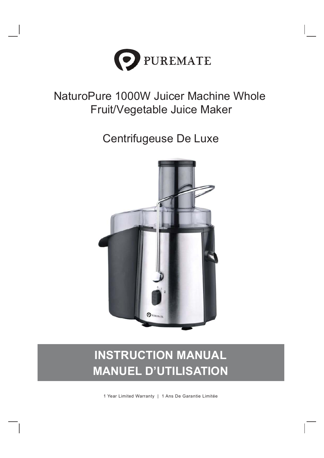

# NaturoPure 1000W Juicer Machine Whole Fruit/Vegetable Juice Maker

Centrifugeuse De Luxe



# INSTRUCTION MANUAL MANUEL D'UTILISATION

1 Year Limited Warranty | 1 Ans De Garantie Limitée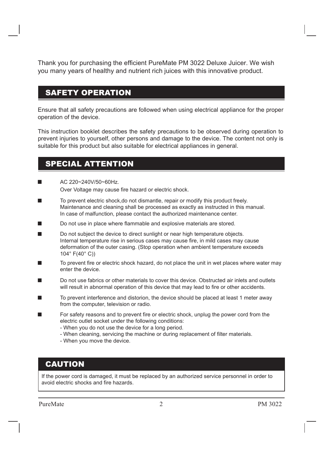Thank you for purchasing the efficient PureMate PM 3022 Deluxe Juicer. We wish you many years of healthy and nutrient rich juices with this innovative product.

#### SAFETY OPERATION

Ensure that all safety precautions are followed when using electrical appliance for the proper operation of the device.

This instruction booklet describes the safety precautions to be observed during operation to prevent injuries to yourself, other persons and damage to the device. The content not only is suitable for this product but also suitable for electrical appliances in general.

#### SPECIAL ATTENTION

- AC 220~240V/50~60Hz. Over Voltage may cause fire hazard or electric shock.
- To prevent electric shock,do not dismantle, repair or modify this product freely. Maintenance and cleaning shall be processed as exactly as instructed in this manual. In case of malfunction, please contact the authorized maintenance center.
- Do not use in place where flammable and explosive materials are stored.
- Do not subject the device to direct sunlight or near high temperature objects. Internal temperature rise in serious cases may cause fire, in mild cases may cause deformation of the outer casing. (Stop operation when ambient temperature exceeds 104° F(40° C))
- To prevent fire or electric shock hazard, do not place the unit in wet places where water may enter the device.
- Do not use fabrics or other materials to cover this device. Obstructed air inlets and outlets will result in abnormal operation of this device that may lead to fire or other accidents.
- To prevent interference and distorion, the device should be placed at least 1 meter away from the computer, television or radio.
- For safety reasons and to prevent fire or electric shock, unplug the power cord from the electric outlet socket under the following conditions:
	- When you do not use the device for a long period.
	- When cleaning, servicing the machine or during replacement of filter materials.
	- When you move the device.

#### CAUTION

If the power cord is damaged, it must be replaced by an authorized service personnel in order to avoid electric shocks and fire hazards.

PureMate PM 3022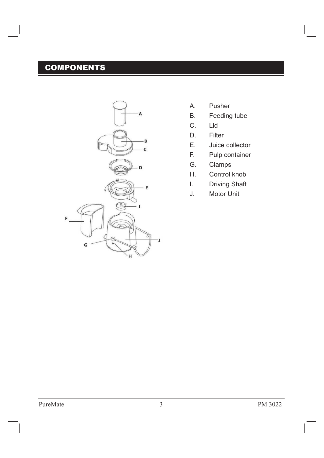# **COMPONENTS**



- A. Pusher
- B. Feeding tube
- C. Lid
- D. Filter
- E. Juice collector
- F. Pulp container
- G. Clamps
- H. Control knob
- I. Driving Shaft
- J. Motor Unit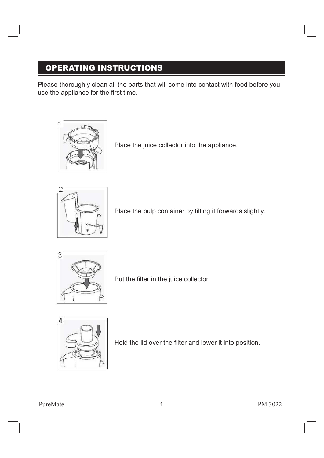# OPERATING INSTRUCTIONS

Please thoroughly clean all the parts that will come into contact with food before you use the appliance for the first time.



Place the juice collector into the appliance.



Place the pulp container by tilting it forwards slightly.



Put the filter in the juice collector.



Hold the lid over the filter and lower it into position.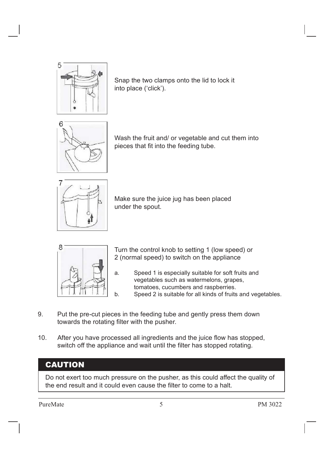

Snap the two clamps onto the lid to lock it into place ('click').



Wash the fruit and/ or vegetable and cut them into pieces that fit into the feeding tube.



Make sure the juice jug has been placed under the spout.



Turn the control knob to setting 1 (low speed) or 2 (normal speed) to switch on the appliance

- a. Speed 1 is especially suitable for soft fruits and vegetables such as watermelons, grapes, tomatoes, cucumbers and raspberries.
- b. Speed 2 is suitable for all kinds of fruits and vegetables.
- 9. Put the pre-cut pieces in the feeding tube and gently press them down towards the rotating filter with the pusher.
- 10. After you have processed all ingredients and the juice flow has stopped, switch off the appliance and wait until the filter has stopped rotating.

#### **CAUTION**

Do not exert too much pressure on the pusher, as this could affect the quality of the end result and it could even cause the filter to come to a halt.

PureMate PM 3022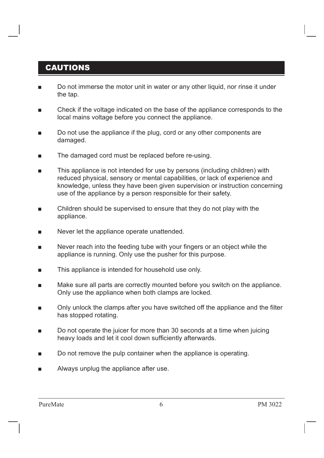#### CAUTIONS

- Do not immerse the motor unit in water or any other liquid, nor rinse it under the tap.
- $\blacksquare$  Check if the voltage indicated on the base of the appliance corresponds to the local mains voltage before you connect the appliance.
- $\Box$  Do not use the appliance if the plug, cord or any other components are damaged.
- The damaged cord must be replaced before re-using.
- This appliance is not intended for use by persons (including children) with reduced physical, sensory or mental capabilities, or lack of experience and knowledge, unless they have been given supervision or instruction concerning use of the appliance by a person responsible for their safety.
- $\blacksquare$  Children should be supervised to ensure that they do not play with the appliance.
- $\blacksquare$  Never let the appliance operate unattended.
- $\blacksquare$  Never reach into the feeding tube with your fingers or an object while the appliance is running. Only use the pusher for this purpose.
- $\blacksquare$  This appliance is intended for household use only.
- Make sure all parts are correctly mounted before you switch on the appliance. Only use the appliance when both clamps are locked.
- $\blacksquare$  Only unlock the clamps after you have switched off the appliance and the filter has stopped rotating.
- $\Box$  Do not operate the juicer for more than 30 seconds at a time when juicing heavy loads and let it cool down sufficiently afterwards.
- $\blacksquare$  Do not remove the pulp container when the appliance is operating.
- Always unplug the appliance after use.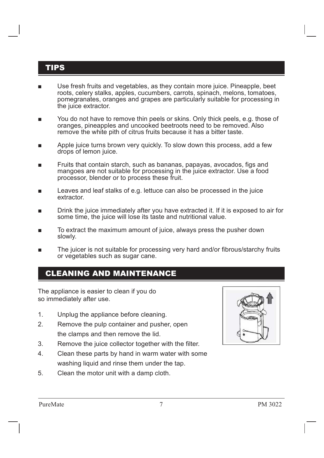#### TIPS

- Use fresh fruits and vegetables, as they contain more juice. Pineapple, beet roots, celery stalks, apples, cucumbers, carrots, spinach, melons, tomatoes, pomegranates, oranges and grapes are particularly suitable for processing in the juice extractor.
- You do not have to remove thin peels or skins. Only thick peels, e.g. those of oranges, pineapples and uncooked beetroots need to be removed. Also remove the white pith of citrus fruits because it has a bitter taste.
- Apple juice turns brown very quickly. To slow down this process, add a few drops of lemon juice.
- Fruits that contain starch, such as bananas, papayas, avocados, figs and mangoes are not suitable for processing in the juice extractor. Use a food processor, blender or to process these fruit.
- Leaves and leaf stalks of e.g. lettuce can also be processed in the juice extractor.
- Drink the juice immediately after you have extracted it. If it is exposed to air for some time, the juice will lose its taste and nutritional value.
- To extract the maximum amount of juice, always press the pusher down slowly.
- The juicer is not suitable for processing very hard and/or fibrous/starchy fruits or vegetables such as sugar cane.

#### CLEANING AND MAINTENANCE

The appliance is easier to clean if you do so immediately after use.

- 1. Unplug the appliance before cleaning.
- 2. Remove the pulp container and pusher, open the clamps and then remove the lid.
- 3. Remove the juice collector together with the filter.
- 4. Clean these parts by hand in warm water with some washing liquid and rinse them under the tap.
- 5. Clean the motor unit with a damp cloth.

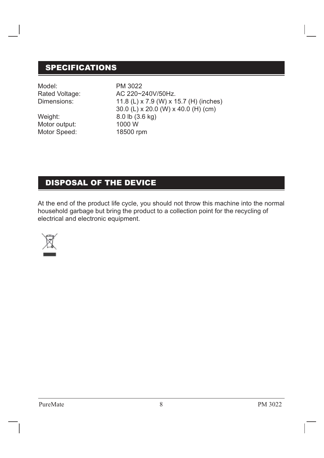#### SPECIFICATIONS

Model: PM 3022

Motor Speed: 18500 rpm Weight: 8.0 lb (3.6 kg) Motor output: 1000 W

 30.0 (L) x 20.0 (W) x 40.0 (H) (cm) Dimensions: 11.8 (L) x 7.9 (W) x 15.7 (H) (inches) Rated Voltage: <br>AC 220~240V/50Hz.

#### DISPOSAL OF THE DEVICE

At the end of the product life cycle, you should not throw this machine into the normal household garbage but bring the product to a collection point for the recycling of electrical and electronic equipment.

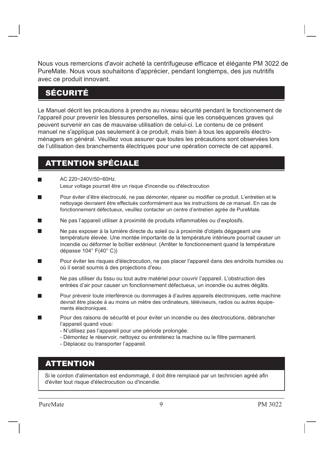Nous vous remercions d'avoir acheté la centrifugeuse efficace et élégante PM 3022 de PureMate. Nous vous souhaitons d'apprécier, pendant longtemps, des jus nutritifs avec ce produit innovant.

#### SÉCURITÉ

Le Manuel décrit les précautions à prendre au niveau sécurité pendant le fonctionnement de l'appareil pour prevenir les blessures personelles, ainsi que les conséquences graves qui peuvent survenir en cas de mauvaise utilisation de celui-ci. Le contenu de ce présent manuel ne s'applique pas seulement à ce produit, mais bien à tous les appareils électroménagers en général. Veuillez vous assurer que toutes les précautions sont observées lors de l'utilisation des branchements électriques pour une opération correcte de cet appareil.

#### ATTENTION SPÉCIALE

- AC 220~240V/50~60Hz. Lesur voltage pourrait être un risque d'incendie ou d'électrocution
- Pour éviter d'être électrocuté, ne pas démonter, réparer ou modifier ce produit. L'entretien et le nettoyage devraient être effectués conformément aux les instructions de ce manuel. En cas de fonctionnement défectueux, veuillez contacter un centre d'entretien agrée de PureMate.
- Ne pas l'appareil utiliser à proximité de produits inflammables ou d'explosifs.
- Ne pas exposer à la lumière directe du soleil ou à proximité d'objets dégageant une  $\blacksquare$ température élevée. Une montée importante de la température intérieure pourrait causer un incendie ou déformer le boîtier extérieur. (Arrêter le fonctionnement quand la température dépasse 104° F(40° C))
- Pour éviter les risques d'électrocution, ne pas placer l'appareil dans des endroits humides ou où il serait soumis à des projections d'eau.
- Ne pas utiliser du tissu ou tout autre matériel pour couvrir l'appareil. L'obstruction des entrées d'air pour causer un fonctionnement défectueux, un incendie ou autres dégâts.
- Pour prévenir toute interférence ou dommages à d'autres appareils électroniques, cette machine devrait être placée à au moins un mètre des ordinateurs, téléviseurs, radios ou autres équipements électroniques.
- Pour des raisons de sécurité et pour éviter un incendie ou des électrocutions, débrancher l'appareil quand vous:
	- N'utilisez pas l'appareil pour une période prolongée.
	- Démontez le réservoir, nettoyez ou entretenez la machine ou le filtre permanent.
	- Déplacez ou transporter l'appareil.

#### ATTENTION

Si le cordon d'alimentation est endommagé, il doit être remplacé par un technicien agréé afin d'éviter tout risque d'électrocution ou d'incendie.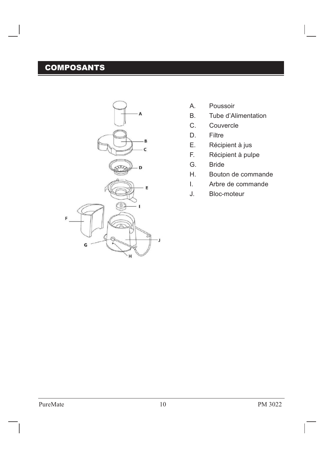# **COMPOSANTS**



- A. Poussoir
- B. Tube d'Alimentation
- C. Couvercle
- D. Filtre
- E. Récipient à jus
- F. Récipient à pulpe
- G. Bride
- H. Bouton de commande
- I. Arbre de commande
- J. Bloc-moteur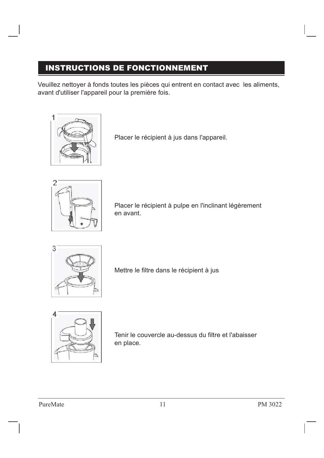# INSTRUCTIONS DE FONCTIONNEMENT

Veuillez nettoyer à fonds toutes les pièces qui entrent en contact avec les aliments, avant d'utiliser l'appareil pour la première fois.



Placer le récipient à jus dans l'appareil.



Placer le récipient à pulpe en l'inclinant légèrement en avant.



Mettre le filtre dans le récipient à jus



Tenir le couvercle au-dessus du filtre et l'abaisser en place.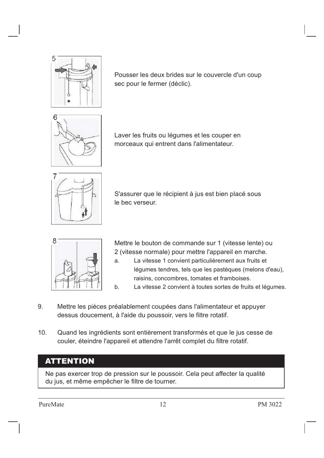

Pousser les deux brides sur le couvercle d'un coup sec pour le fermer (déclic).



Laver les fruits ou légumes et les couper en morceaux qui entrent dans l'alimentateur.



S'assurer que le récipient à jus est bien placé sous le bec verseur.



Mettre le bouton de commande sur 1 (vitesse lente) ou 2 (vitesse normale) pour mettre l'appareil en marche.

- a. La vitesse 1 convient particulièrement aux fruits et légumes tendres, tels que les pastèques (melons d'eau), raisins, concombres, tomates et framboises.
- b. La vitesse 2 convient à toutes sortes de fruits et légumes.
- 9. Mettre les pièces préalablement coupées dans l'alimentateur et appuyer dessus doucement, à l'aide du poussoir, vers le filtre rotatif.
- 10. Quand les ingrédients sont entièrement transformés et que le jus cesse de couler, éteindre l'appareil et attendre l'arrêt complet du filtre rotatif.

#### **ATTENTION**

Ne pas exercer trop de pression sur le poussoir. Cela peut affecter la qualité du jus, et même empêcher le filtre de tourner.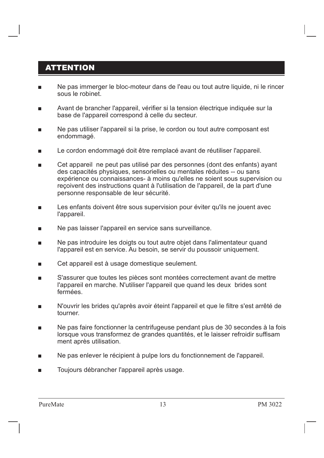#### **ATTENTION**

- Ne pas immerger le bloc-moteur dans de l'eau ou tout autre liquide, ni le rincer sous le robinet.
- Avant de brancher l'appareil, vérifier si la tension électrique indiquée sur la base de l'appareil correspond à celle du secteur.
- $\blacksquare$  Ne pas utiliser l'appareil si la prise, le cordon ou tout autre composant est endommagé.
- **EXECTE LE COLD ENDOMMAGE DE LA COLOGITY EN LA COLOGITY EN LA COLOGITY LE COLOGITY LE COLOGITY LE COLOGITY LE C**
- Cet appareil ne peut pas utilisé par des personnes (dont des enfants) ayant des capacités physiques, sensorielles ou mentales réduites -- ou sans expérience ou connaissances- à moins qu'elles ne soient sous supervision ou reçoivent des instructions quant à l'utilisation de l'appareil, de la part d'une personne responsable de leur sécurité.
- **EXECTE Les enfants doivent être sous supervision pour éviter qu'ils ne jouent avec** l'appareil.
- Ne pas laisser l'appareil en service sans surveillance.
- Ne pas introduire les doigts ou tout autre objet dans l'alimentateur quand l'appareil est en service. Au besoin, se servir du poussoir uniquement.
- Cet appareil est à usage domestique seulement.
- S'assurer que toutes les pièces sont montées correctement avant de mettre l'appareil en marche. N'utiliser l'appareil que quand les deux brides sont fermées.
- N'ouvrir les brides qu'après avoir éteint l'appareil et que le filtre s'est arrêté de tourner.
- Ne pas faire fonctionner la centrifugeuse pendant plus de 30 secondes à la fois lorsque vous transformez de grandes quantités, et le laisser refroidir suffisam ment après utilisation.
- Ne pas enlever le récipient à pulpe lors du fonctionnement de l'appareil.
- Toujours débrancher l'appareil après usage.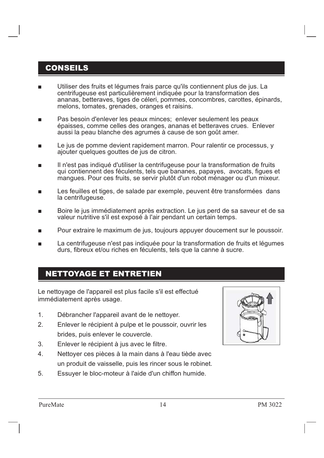#### CONSEILS

- Utiliser des fruits et légumes frais parce qu'ils contiennent plus de jus. La centrifugeuse est particulièrement indiquée pour la transformation des ananas, betteraves, tiges de céleri, pommes, concombres, carottes, épinards, melons, tomates, grenades, oranges et raisins.
- Pas besoin d'enlever les peaux minces; enlever seulement les peaux épaisses, comme celles des oranges, ananas et betteraves crues. Enlever aussi la peau blanche des agrumes à cause de son goût amer.
- **EXECT:** Le jus de pomme devient rapidement marron. Pour ralentir ce processus, y ajouter quelques gouttes de jus de citron.
- Il n'est pas indiqué d'utiliser la centrifugeuse pour la transformation de fruits qui contiennent des féculents, tels que bananes, papayes, avocats, figues et mangues. Pour ces fruits, se servir plutôt d'un robot ménager ou d'un mixeur.
- Les feuilles et tiges, de salade par exemple, peuvent être transformées dans la centrifugeuse.
- Boire le jus immédiatement après extraction. Le jus perd de sa saveur et de sa valeur nutritive s'il est exposé à l'air pendant un certain temps.
- Pour extraire le maximum de jus, toujours appuyer doucement sur le poussoir.
- La centrifugeuse n'est pas indiquée pour la transformation de fruits et légumes durs, fibreux et/ou riches en féculents, tels que la canne à sucre.

#### NETTOYAGE ET ENTRETIEN

Le nettoyage de l'appareil est plus facile s'il est effectué immédiatement après usage.

- 1. Débrancher l'appareil avant de le nettoyer.
- 2. Enlever le récipient à pulpe et le poussoir, ouvrir les brides, puis enlever le couvercle.
- 3. Enlever le récipient à jus avec le filtre.
- 4. Nettoyer ces pièces à la main dans à l'eau tiède avec un produit de vaisselle, puis les rincer sous le robinet.
- 5. Essuyer le bloc-moteur à l'aide d'un chiffon humide.